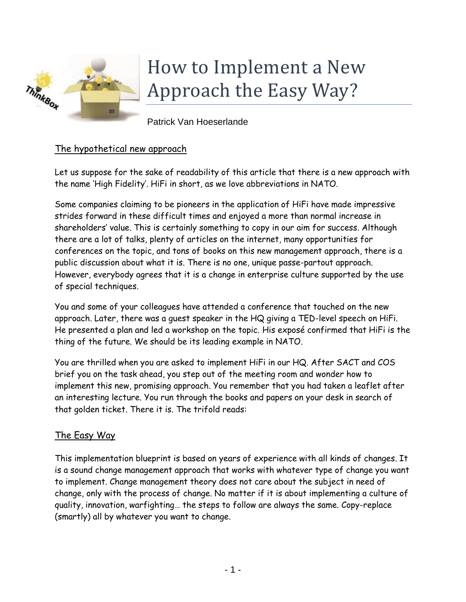

# How to Implement a New Approach the Easy Way?

Patrick Van Hoeserlande

## The hypothetical new approach

Let us suppose for the sake of readability of this article that there is a new approach with the name 'High Fidelity'. HiFi in short, as we love abbreviations in NATO.

Some companies claiming to be pioneers in the application of HiFi have made impressive strides forward in these difficult times and enjoyed a more than normal increase in shareholders' value. This is certainly something to copy in our aim for success. Although there are a lot of talks, plenty of articles on the internet, many opportunities for conferences on the topic, and tons of books on this new management approach, there is a public discussion about what it is. There is no one, unique passe-partout approach. However, everybody agrees that it is a change in enterprise culture supported by the use of special techniques.

You and some of your colleagues have attended a conference that touched on the new approach. Later, there was a guest speaker in the HQ giving a TED-level speech on HiFi. He presented a plan and led a workshop on the topic. His exposé confirmed that HiFi is the thing of the future. We should be its leading example in NATO.

You are thrilled when you are asked to implement HiFi in our HQ. After SACT and COS brief you on the task ahead, you step out of the meeting room and wonder how to implement this new, promising approach. You remember that you had taken a leaflet after an interesting lecture. You run through the books and papers on your desk in search of that golden ticket. There it is. The trifold reads:

## The Easy Way

This implementation blueprint is based on years of experience with all kinds of changes. It is a sound change management approach that works with whatever type of change you want to implement. Change management theory does not care about the subject in need of change, only with the process of change. No matter if it is about implementing a culture of quality, innovation, warfighting… the steps to follow are always the same. Copy-replace (smartly) all by whatever you want to change.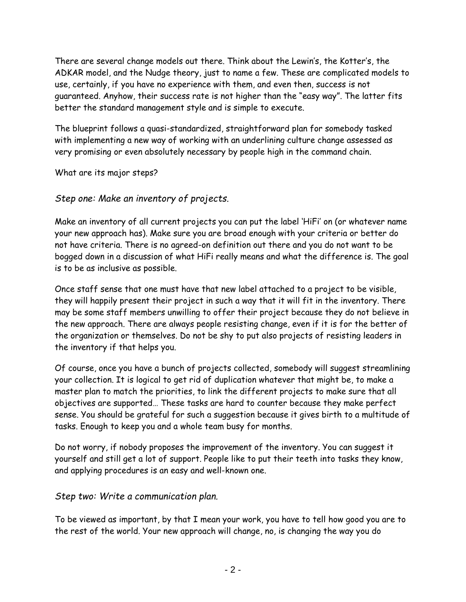There are several change models out there. Think about the Lewin's, the Kotter's, the ADKAR model, and the Nudge theory, just to name a few. These are complicated models to use, certainly, if you have no experience with them, and even then, success is not guaranteed. Anyhow, their success rate is not higher than the "easy way". The latter fits better the standard management style and is simple to execute.

The blueprint follows a quasi-standardized, straightforward plan for somebody tasked with implementing a new way of working with an underlining culture change assessed as very promising or even absolutely necessary by people high in the command chain.

What are its major steps?

#### *Step one: Make an inventory of projects.*

Make an inventory of all current projects you can put the label 'HiFi' on (or whatever name your new approach has). Make sure you are broad enough with your criteria or better do not have criteria. There is no agreed-on definition out there and you do not want to be bogged down in a discussion of what HiFi really means and what the difference is. The goal is to be as inclusive as possible.

Once staff sense that one must have that new label attached to a project to be visible, they will happily present their project in such a way that it will fit in the inventory. There may be some staff members unwilling to offer their project because they do not believe in the new approach. There are always people resisting change, even if it is for the better of the organization or themselves. Do not be shy to put also projects of resisting leaders in the inventory if that helps you.

Of course, once you have a bunch of projects collected, somebody will suggest streamlining your collection. It is logical to get rid of duplication whatever that might be, to make a master plan to match the priorities, to link the different projects to make sure that all objectives are supported… These tasks are hard to counter because they make perfect sense. You should be grateful for such a suggestion because it gives birth to a multitude of tasks. Enough to keep you and a whole team busy for months.

Do not worry, if nobody proposes the improvement of the inventory. You can suggest it yourself and still get a lot of support. People like to put their teeth into tasks they know, and applying procedures is an easy and well-known one.

#### *Step two: Write a communication plan.*

To be viewed as important, by that I mean your work, you have to tell how good you are to the rest of the world. Your new approach will change, no, is changing the way you do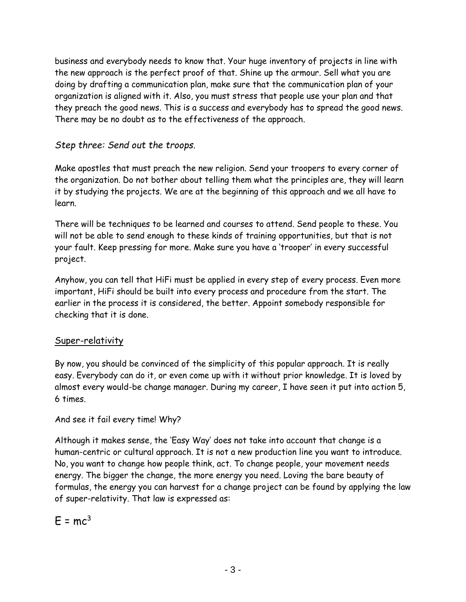business and everybody needs to know that. Your huge inventory of projects in line with the new approach is the perfect proof of that. Shine up the armour. Sell what you are doing by drafting a communication plan, make sure that the communication plan of your organization is aligned with it. Also, you must stress that people use your plan and that they preach the good news. This is a success and everybody has to spread the good news. There may be no doubt as to the effectiveness of the approach.

# *Step three: Send out the troops.*

Make apostles that must preach the new religion. Send your troopers to every corner of the organization. Do not bother about telling them what the principles are, they will learn it by studying the projects. We are at the beginning of this approach and we all have to learn.

There will be techniques to be learned and courses to attend. Send people to these. You will not be able to send enough to these kinds of training opportunities, but that is not your fault. Keep pressing for more. Make sure you have a 'trooper' in every successful project.

Anyhow, you can tell that HiFi must be applied in every step of every process. Even more important, HiFi should be built into every process and procedure from the start. The earlier in the process it is considered, the better. Appoint somebody responsible for checking that it is done.

## Super-relativity

By now, you should be convinced of the simplicity of this popular approach. It is really easy. Everybody can do it, or even come up with it without prior knowledge. It is loved by almost every would-be change manager. During my career, I have seen it put into action 5, 6 times.

And see it fail every time! Why?

Although it makes sense, the 'Easy Way' does not take into account that change is a human-centric or cultural approach. It is not a new production line you want to introduce. No, you want to change how people think, act. To change people, your movement needs energy. The bigger the change, the more energy you need. Loving the bare beauty of formulas, the energy you can harvest for a change project can be found by applying the law of super-relativity. That law is expressed as:

 $F = mc<sup>3</sup>$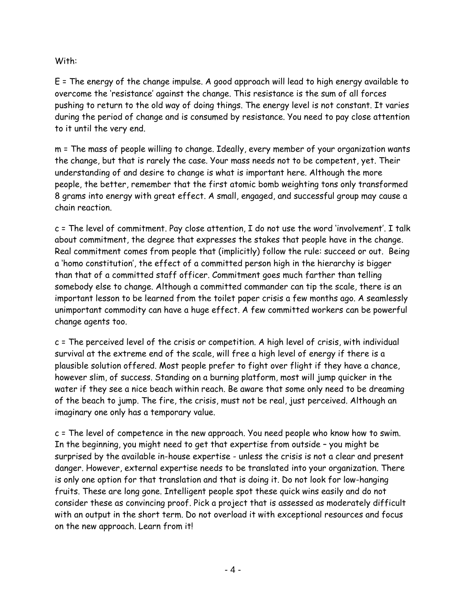#### With:

E = The energy of the change impulse. A good approach will lead to high energy available to overcome the 'resistance' against the change. This resistance is the sum of all forces pushing to return to the old way of doing things. The energy level is not constant. It varies during the period of change and is consumed by resistance. You need to pay close attention to it until the very end.

m = The mass of people willing to change. Ideally, every member of your organization wants the change, but that is rarely the case. Your mass needs not to be competent, yet. Their understanding of and desire to change is what is important here. Although the more people, the better, remember that the first atomic bomb weighting tons only transformed 8 grams into energy with great effect. A small, engaged, and successful group may cause a chain reaction.

c = The level of commitment. Pay close attention, I do not use the word 'involvement'. I talk about commitment, the degree that expresses the stakes that people have in the change. Real commitment comes from people that (implicitly) follow the rule: succeed or out. Being a 'homo constitution', the effect of a committed person high in the hierarchy is bigger than that of a committed staff officer. Commitment goes much farther than telling somebody else to change. Although a committed commander can tip the scale, there is an important lesson to be learned from the toilet paper crisis a few months ago. A seamlessly unimportant commodity can have a huge effect. A few committed workers can be powerful change agents too.

c = The perceived level of the crisis or competition. A high level of crisis, with individual survival at the extreme end of the scale, will free a high level of energy if there is a plausible solution offered. Most people prefer to fight over flight if they have a chance, however slim, of success. Standing on a burning platform, most will jump quicker in the water if they see a nice beach within reach. Be aware that some only need to be dreaming of the beach to jump. The fire, the crisis, must not be real, just perceived. Although an imaginary one only has a temporary value.

c = The level of competence in the new approach. You need people who know how to swim. In the beginning, you might need to get that expertise from outside – you might be surprised by the available in-house expertise - unless the crisis is not a clear and present danger. However, external expertise needs to be translated into your organization. There is only one option for that translation and that is doing it. Do not look for low-hanging fruits. These are long gone. Intelligent people spot these quick wins easily and do not consider these as convincing proof. Pick a project that is assessed as moderately difficult with an output in the short term. Do not overload it with exceptional resources and focus on the new approach. Learn from it!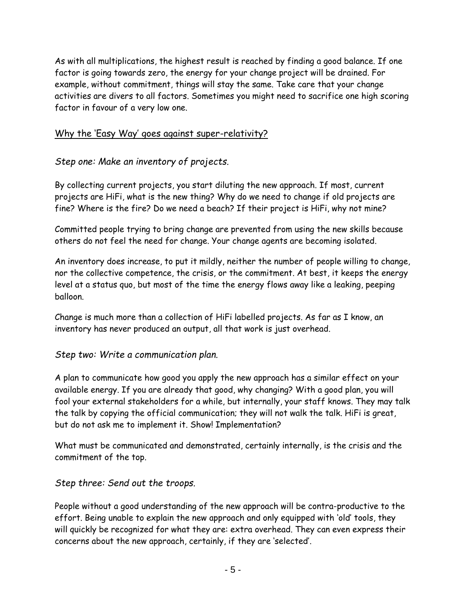As with all multiplications, the highest result is reached by finding a good balance. If one factor is going towards zero, the energy for your change project will be drained. For example, without commitment, things will stay the same. Take care that your change activities are divers to all factors. Sometimes you might need to sacrifice one high scoring factor in favour of a very low one.

### Why the 'Easy Way' goes against super-relativity?

# *Step one: Make an inventory of projects.*

By collecting current projects, you start diluting the new approach. If most, current projects are HiFi, what is the new thing? Why do we need to change if old projects are fine? Where is the fire? Do we need a beach? If their project is HiFi, why not mine?

Committed people trying to bring change are prevented from using the new skills because others do not feel the need for change. Your change agents are becoming isolated.

An inventory does increase, to put it mildly, neither the number of people willing to change, nor the collective competence, the crisis, or the commitment. At best, it keeps the energy level at a status quo, but most of the time the energy flows away like a leaking, peeping balloon.

Change is much more than a collection of HiFi labelled projects. As far as I know, an inventory has never produced an output, all that work is just overhead.

## *Step two: Write a communication plan.*

A plan to communicate how good you apply the new approach has a similar effect on your available energy. If you are already that good, why changing? With a good plan, you will fool your external stakeholders for a while, but internally, your staff knows. They may talk the talk by copying the official communication; they will not walk the talk. HiFi is great, but do not ask me to implement it. Show! Implementation?

What must be communicated and demonstrated, certainly internally, is the crisis and the commitment of the top.

## *Step three: Send out the troops.*

People without a good understanding of the new approach will be contra-productive to the effort. Being unable to explain the new approach and only equipped with 'old' tools, they will quickly be recognized for what they are: extra overhead. They can even express their concerns about the new approach, certainly, if they are 'selected'.